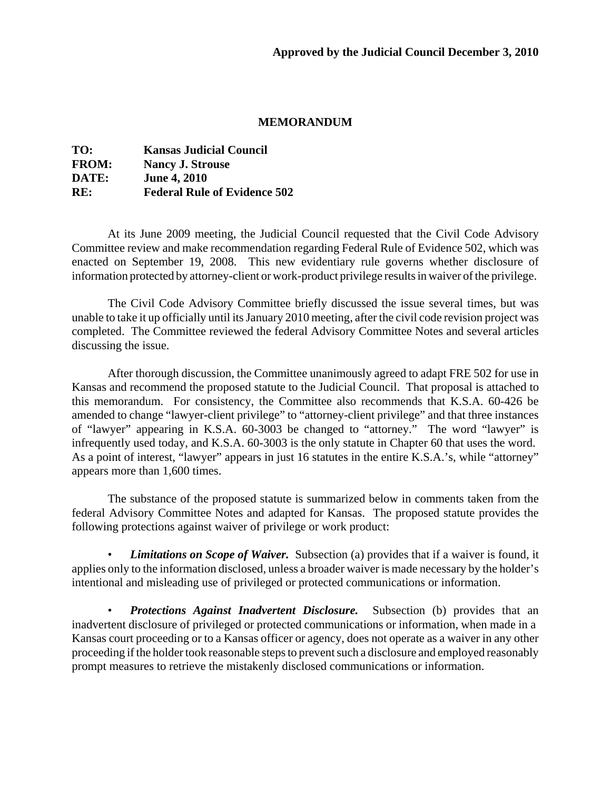## **MEMORANDUM**

| TO:          | <b>Kansas Judicial Council</b>      |
|--------------|-------------------------------------|
| <b>FROM:</b> | <b>Nancy J. Strouse</b>             |
| DATE:        | <b>June 4, 2010</b>                 |
| RE:          | <b>Federal Rule of Evidence 502</b> |

At its June 2009 meeting, the Judicial Council requested that the Civil Code Advisory Committee review and make recommendation regarding Federal Rule of Evidence 502, which was enacted on September 19, 2008. This new evidentiary rule governs whether disclosure of information protected by attorney-client or work-product privilege results in waiver of the privilege.

The Civil Code Advisory Committee briefly discussed the issue several times, but was unable to take it up officially until its January 2010 meeting, after the civil code revision project was completed. The Committee reviewed the federal Advisory Committee Notes and several articles discussing the issue.

After thorough discussion, the Committee unanimously agreed to adapt FRE 502 for use in Kansas and recommend the proposed statute to the Judicial Council. That proposal is attached to this memorandum. For consistency, the Committee also recommends that K.S.A. 60-426 be amended to change "lawyer-client privilege" to "attorney-client privilege" and that three instances of "lawyer" appearing in K.S.A. 60-3003 be changed to "attorney." The word "lawyer" is infrequently used today, and K.S.A. 60-3003 is the only statute in Chapter 60 that uses the word. As a point of interest, "lawyer" appears in just 16 statutes in the entire K.S.A.'s, while "attorney" appears more than 1,600 times.

The substance of the proposed statute is summarized below in comments taken from the federal Advisory Committee Notes and adapted for Kansas. The proposed statute provides the following protections against waiver of privilege or work product:

• *Limitations on Scope of Waiver.* Subsection (a) provides that if a waiver is found, it applies only to the information disclosed, unless a broader waiver is made necessary by the holder's intentional and misleading use of privileged or protected communications or information.

• *Protections Against Inadvertent Disclosure.* Subsection (b) provides that an inadvertent disclosure of privileged or protected communications or information, when made in a Kansas court proceeding or to a Kansas officer or agency, does not operate as a waiver in any other proceeding if the holder took reasonable steps to prevent such a disclosure and employed reasonably prompt measures to retrieve the mistakenly disclosed communications or information.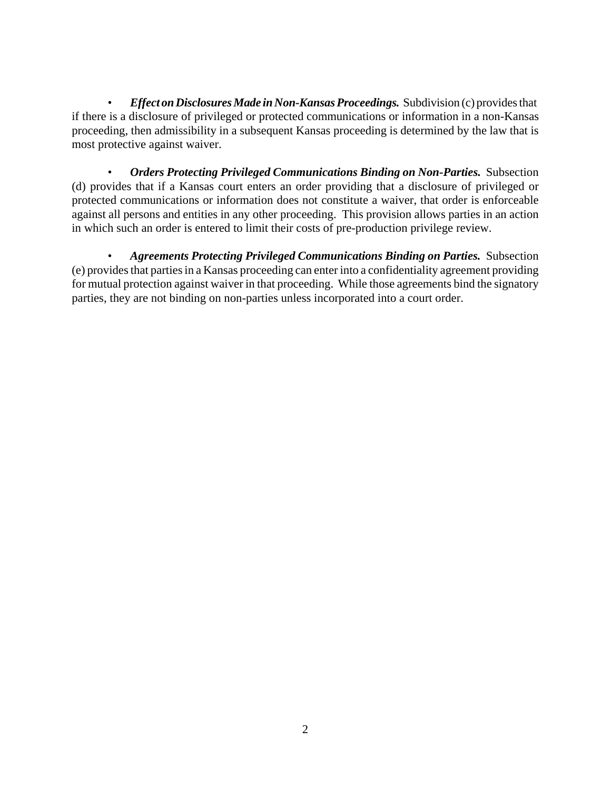• *Effect on Disclosures Made in Non-Kansas Proceedings.* Subdivision (c) provides that if there is a disclosure of privileged or protected communications or information in a non-Kansas proceeding, then admissibility in a subsequent Kansas proceeding is determined by the law that is most protective against waiver.

• *Orders Protecting Privileged Communications Binding on Non-Parties.* Subsection (d) provides that if a Kansas court enters an order providing that a disclosure of privileged or protected communications or information does not constitute a waiver, that order is enforceable against all persons and entities in any other proceeding. This provision allows parties in an action in which such an order is entered to limit their costs of pre-production privilege review.

• *Agreements Protecting Privileged Communications Binding on Parties.* Subsection (e) provides that parties in a Kansas proceeding can enter into a confidentiality agreement providing for mutual protection against waiver in that proceeding. While those agreements bind the signatory parties, they are not binding on non-parties unless incorporated into a court order.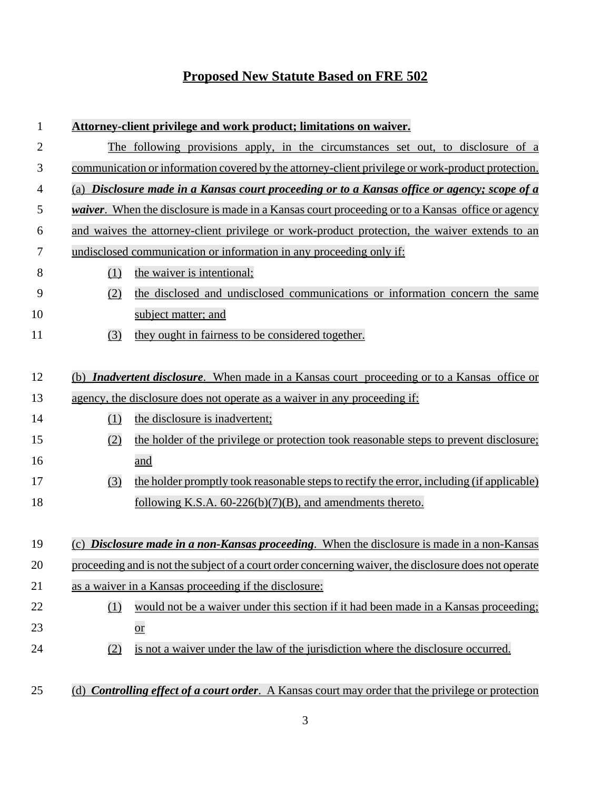## **Proposed New Statute Based on FRE 502**

| 1              | Attorney-client privilege and work product; limitations on waiver.                                      |                                                                                                       |  |
|----------------|---------------------------------------------------------------------------------------------------------|-------------------------------------------------------------------------------------------------------|--|
| $\overline{2}$ | The following provisions apply, in the circumstances set out, to disclosure of a                        |                                                                                                       |  |
| 3              | communication or information covered by the attorney-client privilege or work-product protection.       |                                                                                                       |  |
| $\overline{4}$ | (a) Disclosure made in a Kansas court proceeding or to a Kansas office or agency; scope of a            |                                                                                                       |  |
| 5              | <i>waiver.</i> When the disclosure is made in a Kansas court proceeding or to a Kansas office or agency |                                                                                                       |  |
| 6              | and waives the attorney-client privilege or work-product protection, the waiver extends to an           |                                                                                                       |  |
| 7              | undisclosed communication or information in any proceeding only if:                                     |                                                                                                       |  |
| 8              | (1)                                                                                                     | the waiver is intentional;                                                                            |  |
| 9              | (2)                                                                                                     | the disclosed and undisclosed communications or information concern the same                          |  |
| 10             |                                                                                                         | subject matter; and                                                                                   |  |
| 11             | (3)                                                                                                     | they ought in fairness to be considered together.                                                     |  |
|                |                                                                                                         |                                                                                                       |  |
| 12             | (b) <i>Inadvertent disclosure</i> . When made in a Kansas court proceeding or to a Kansas office or     |                                                                                                       |  |
| 13             | agency, the disclosure does not operate as a waiver in any proceeding if:                               |                                                                                                       |  |
| 14             | (1)                                                                                                     | the disclosure is inadvertent;                                                                        |  |
| 15             | (2)                                                                                                     | the holder of the privilege or protection took reasonable steps to prevent disclosure;                |  |
| 16             |                                                                                                         | and                                                                                                   |  |
| 17             | (3)                                                                                                     | the holder promptly took reasonable steps to rectify the error, including (if applicable)             |  |
| 18             |                                                                                                         | following K.S.A. $60-226(b)(7)(B)$ , and amendments thereto.                                          |  |
|                |                                                                                                         |                                                                                                       |  |
| 19             |                                                                                                         | (c) <i>Disclosure made in a non-Kansas proceeding</i> . When the disclosure is made in a non-Kansas   |  |
| 20             |                                                                                                         | proceeding and is not the subject of a court order concerning waiver, the disclosure does not operate |  |
| 21             | as a waiver in a Kansas proceeding if the disclosure:                                                   |                                                                                                       |  |
| 22             | (1)                                                                                                     | would not be a waiver under this section if it had been made in a Kansas proceeding;                  |  |
| 23             |                                                                                                         | $\overline{\text{or}}$                                                                                |  |
| 24             | (2)                                                                                                     | is not a waiver under the law of the jurisdiction where the disclosure occurred.                      |  |
|                |                                                                                                         |                                                                                                       |  |
| 25             |                                                                                                         | (d) Controlling effect of a court order. A Kansas court may order that the privilege or protection    |  |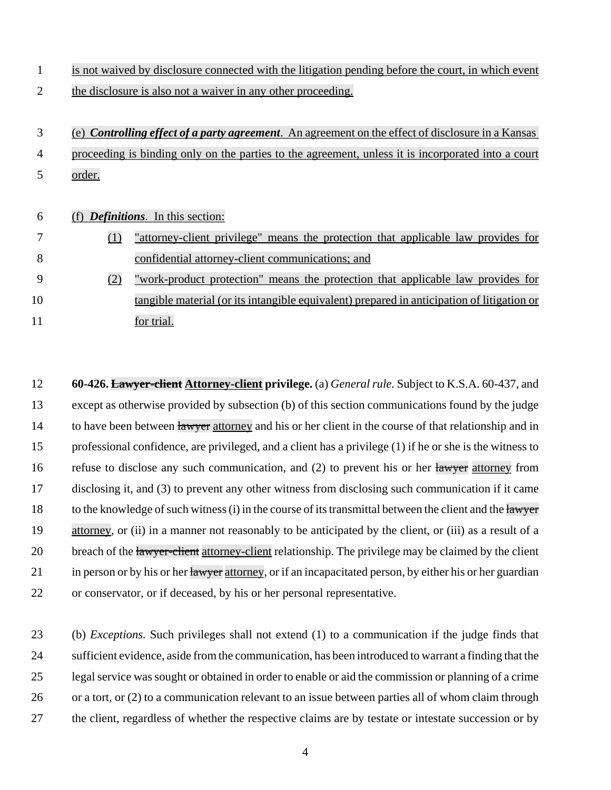| 1  |        | is not waived by disclosure connected with the litigation pending before the court, in which event |
|----|--------|----------------------------------------------------------------------------------------------------|
| 2  |        | the disclosure is also not a waiver in any other proceeding.                                       |
|    |        |                                                                                                    |
| 3  |        | (e) Controlling effect of a party agreement. An agreement on the effect of disclosure in a Kansas  |
| 4  |        | proceeding is binding only on the parties to the agreement, unless it is incorporated into a court |
| 5  | order. |                                                                                                    |
|    |        |                                                                                                    |
| 6  |        | <b>Definitions.</b> In this section:                                                               |
| 7  | (1)    | "attorney-client privilege" means the protection that applicable law provides for                  |
| 8  |        | confidential attorney-client communications; and                                                   |
| 9  | (2)    | "work-product protection" means the protection that applicable law provides for                    |
| 10 |        | tangible material (or its intangible equivalent) prepared in anticipation of litigation or         |
| 11 |        | for trial.                                                                                         |
|    |        |                                                                                                    |

 **60-426. Lawyer-client Attorney-client privilege.** (a) *General rule.* Subject to K.S.A. 60-437, and except as otherwise provided by subsection (b) of this section communications found by the judge 14 to have been between lawyer attorney and his or her client in the course of that relationship and in professional confidence, are privileged, and a client has a privilege (1) if he or she is the witness to 16 refuse to disclose any such communication, and (2) to prevent his or her lawyer attorney from disclosing it, and (3) to prevent any other witness from disclosing such communication if it came 18 to the knowledge of such witness (i) in the course of its transmittal between the client and the lawyer attorney, or (ii) in a manner not reasonably to be anticipated by the client, or (iii) as a result of a 20 breach of the lawyer-client attorney-client relationship. The privilege may be claimed by the client 21 in person or by his or her lawyer attorney, or if an incapacitated person, by either his or her guardian or conservator, or if deceased, by his or her personal representative.

 (b) *Exceptions.* Such privileges shall not extend (1) to a communication if the judge finds that sufficient evidence, aside from the communication, has been introduced to warrant a finding that the legal service was sought or obtained in order to enable or aid the commission or planning of a crime or a tort, or (2) to a communication relevant to an issue between parties all of whom claim through the client, regardless of whether the respective claims are by testate or intestate succession or by